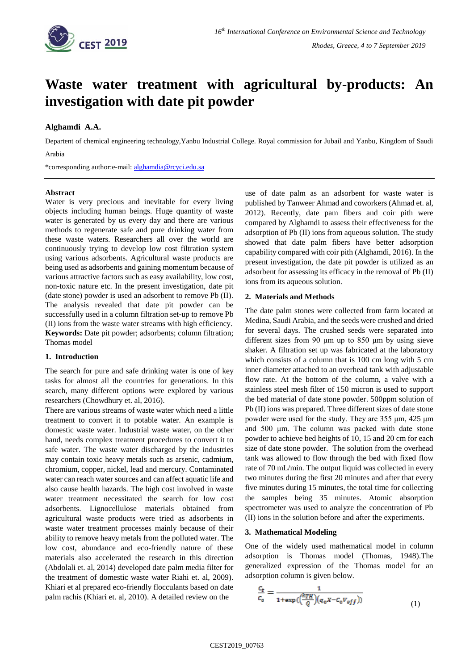

# **Waste water treatment with agricultural by-products: An investigation with date pit powder**

# **Alghamdi A.A.**

Departent of chemical engineering technology,Yanbu Industrial College. Royal commission for Jubail and Yanbu, Kingdom of Saudi Arabia

\*corresponding author:e-mail: [alghamdia@rcyci.edu.sa](mailto:alghamdia@rcyci.edu.sa)

# **Abstract**

Water is very precious and inevitable for every living objects including human beings. Huge quantity of waste water is generated by us every day and there are various methods to regenerate safe and pure drinking water from these waste waters. Researchers all over the world are continuously trying to develop low cost filtration system using various adsorbents. Agricultural waste products are being used as adsorbents and gaining momentum because of various attractive factors such as easy availability, low cost, non-toxic nature etc. In the present investigation, date pit (date stone) powder is used an adsorbent to remove Pb (II). The analysis revealed that date pit powder can be successfully used in a column filtration set-up to remove Pb (II) ions from the waste water streams with high efficiency. **Keywords:** Date pit powder; adsorbents; column filtration; Thomas model

## **1. Introduction**

The search for pure and safe drinking water is one of key tasks for almost all the countries for generations. In this search, many different options were explored by various researchers (Chowdhury et. al, 2016).

There are various streams of waste water which need a little treatment to convert it to potable water. An example is domestic waste water. Industrial waste water, on the other hand, needs complex treatment procedures to convert it to safe water. The waste water discharged by the industries may contain toxic heavy metals such as arsenic, cadmium, chromium, copper, nickel, lead and mercury. Contaminated water can reach water sources and can affect aquatic life and also cause health hazards. The high cost involved in waste water treatment necessitated the search for low cost adsorbents. Lignocellulose materials obtained from agricultural waste products were tried as adsorbents in waste water treatment processes mainly because of their ability to remove heavy metals from the polluted water. The low cost, abundance and eco-friendly nature of these materials also accelerated the research in this direction (Abdolali et. al, 2014) developed date palm media filter for the treatment of domestic waste water Riahi et. al, 2009). Khiari et al prepared eco-friendly flocculants based on date palm rachis (Khiari et. al, 2010). A detailed review on the

use of date palm as an adsorbent for waste water is published by Tanweer Ahmad and coworkers (Ahmad et. al, 2012). Recently, date pam fibers and coir pith were compared by Alghamdi to assess their effectiveness for the adsorption of Pb (II) ions from aqueous solution. The study showed that date palm fibers have better adsorption capability compared with coir pith (Alghamdi, 2016). In the present investigation, the date pit powder is utilized as an adsorbent for assessing its efficacy in the removal of Pb (II) ions from its aqueous solution.

## **2. Materials and Methods**

The date palm stones were collected from farm located at Medina, Saudi Arabia, and the seeds were crushed and dried for several days. The crushed seeds were separated into different sizes from 90 μm up to 850 μm by using sieve shaker. A filtration set up was fabricated at the laboratory which consists of a column that is 100 cm long with 5 cm inner diameter attached to an overhead tank with adjustable flow rate. At the bottom of the column, a valve with a stainless steel mesh filter of 150 micron is used to support the bed material of date stone powder. 500ppm solution of Pb (II) ions was prepared. Three different sizes of date stone powder were used for the study. They are 355 μm, 425 μm and 500 μm. The column was packed with date stone powder to achieve bed heights of 10, 15 and 20 cm for each size of date stone powder. The solution from the overhead tank was allowed to flow through the bed with fixed flow rate of 70 mL/min. The output liquid was collected in every two minutes during the first 20 minutes and after that every five minutes during 15 minutes, the total time for collecting the samples being 35 minutes. Atomic absorption spectrometer was used to analyze the concentration of Pb (II) ions in the solution before and after the experiments.

## **3. Mathematical Modeling**

One of the widely used mathematical model in column adsorption is Thomas model (Thomas, 1948).The generalized expression of the Thomas model for an adsorption column is given below.

$$
\frac{c_t}{c_o} = \frac{1}{1 + \exp((\frac{k_{TH}}{Q})(q_o x - c_o v_{eff}))}
$$
(1)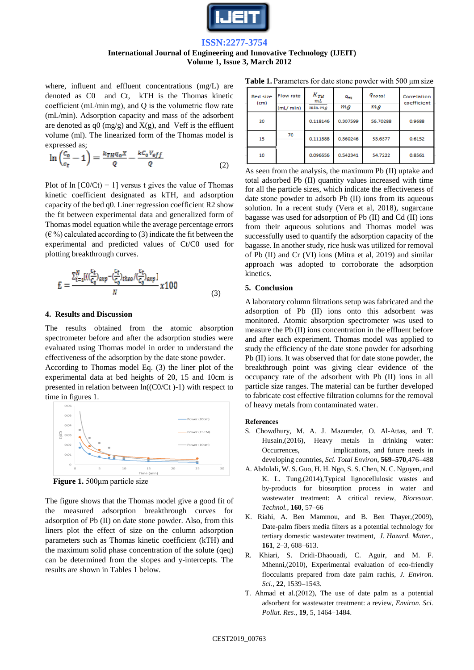

# **ISSN:2277-3754 International Journal of Engineering and Innovative Technology (IJEIT) Volume 1, Issue 3, March 2012**

where, influent and effluent concentrations (mg/L) are denoted as C0 and Ct, kTH is the Thomas kinetic coefficient (mL/min mg), and Q is the volumetric flow rate (mL/min). Adsorption capacity and mass of the adsorbent are denoted as  $q0$  (mg/g) and  $X(g)$ , and Veff is the effluent volume (ml). The linearized form of the Thomas model is expressed as;

$$
\ln\left(\frac{c_o}{c_t} - 1\right) = \frac{k_{TH}q_o X}{Q} - \frac{k c_o V_{eff}}{Q} \tag{2}
$$

Plot of ln  $[CO/Ct]$  – 1] versus t gives the value of Thomas kinetic coefficient designated as kTH, and adsorption capacity of the bed q0. Liner regression coefficient R2 show the fit between experimental data and generalized form of Thomas model equation while the average percentage errors  $(\infty)$  calculated according to (3) indicate the fit between the experimental and predicted values of Ct/C0 used for plotting breakthrough curves.

$$
E = \frac{\sum_{i=1}^{N} [(\frac{C_t}{C_0})_{exp} - (\frac{C_t}{C_0})_{theo} / (\frac{C_t}{C_0})_{exp}]}{N} \times 100
$$
\n(3)

#### **4. Results and Discussion**

The results obtained from the atomic absorption spectrometer before and after the adsorption studies were evaluated using Thomas model in order to understand the effectiveness of the adsorption by the date stone powder.

According to Thomas model Eq. (3) the liner plot of the experimental data at bed heights of 20, 15 and 10cm is presented in relation between ln((C0/Ct )-1) with respect to time in figures 1.



**Figure 1.** 500μm particle size

The figure shows that the Thomas model give a good fit of the measured adsorption breakthrough curves for adsorption of Pb (II) on date stone powder. Also, from this liners plot the effect of size on the column adsorption parameters such as Thomas kinetic coefficient (kTH) and the maximum solid phase concentration of the solute (qeq) can be determined from the slopes and y-intercepts. The results are shown in Tables 1 below.

**Table 1.** Parameters for date stone powder with 500 μm size

| <b>Bed size</b><br>(c <sub>m</sub> ) | <b>Flow rate</b><br>(mL/min) | $K_{TH}$<br>mL<br>min.mg | $q_{eq}$<br>mg | <i><b>G</b>total</i><br>mg | Correlation<br>coefficient |
|--------------------------------------|------------------------------|--------------------------|----------------|----------------------------|----------------------------|
| 20                                   | 70                           | 0.118146                 | 0.307599       | 56.70288                   | 0.9688                     |
| 15                                   |                              | 0.111888                 | 0.360246       | 53.6377                    | 0.6152                     |
| 10                                   |                              | 0.096656                 | 0.542341       | 54.7222                    | 0.8561                     |

As seen from the analysis, the maximum Pb (II) uptake and total adsorbed Pb (II) quantity values increased with time for all the particle sizes, which indicate the effectiveness of date stone powder to adsorb Pb (II) ions from its aqueous solution. In a recent study (Vera et al, 2018), sugarcane bagasse was used for adsorption of Pb (II) and Cd (II) ions from their aqueous solutions and Thomas model was successfully used to quantify the adsorption capacity of the bagasse. In another study, rice husk was utilized for removal of Pb (II) and Cr (VI) ions (Mitra et al, 2019) and similar approach was adopted to corroborate the adsorption kinetics.

#### **5. Conclusion**

A laboratory column filtrations setup was fabricated and the adsorption of Pb (II) ions onto this adsorbent was monitored. Atomic absorption spectrometer was used to measure the Pb (II) ions concentration in the effluent before and after each experiment. Thomas model was applied to study the efficiency of the date stone powder for adsorbing Pb (II) ions. It was observed that for date stone powder, the breakthrough point was giving clear evidence of the occupancy rate of the adsorbent with Pb (II) ions in all particle size ranges. The material can be further developed to fabricate cost effective filtration columns for the removal of heavy metals from contaminated water.

#### **References**

- S. Chowdhury, M. A. J. Mazumder, O. Al-Attas, and T. Husain,(2016), Heavy metals in drinking water: Occurrences, implications, and future needs in developing countries, *Sci. Total Environ*, **569–570**,476–488
- A. Abdolali, W. S. Guo, H. H. Ngo, S. S. Chen, N. C. Nguyen, and K. L. Tung,(2014),Typical lignocellulosic wastes and by-products for biosorption process in water and wastewater treatment: A critical review, *Bioresour. Technol.*, **160**, 57–66
- K. Riahi, A. Ben Mammou, and B. Ben Thayer,(2009), Date-palm fibers media filters as a potential technology for tertiary domestic wastewater treatment, *J. Hazard. Mater*., **161**, 2–3, 608–613.
- R. Khiari, S. Dridi-Dhaouadi, C. Aguir, and M. F. Mhenni,(2010), Experimental evaluation of eco-friendly flocculants prepared from date palm rachis, *J. Environ. Sci.*, **22**, 1539–1543.
- T. Ahmad et al.(2012), The use of date palm as a potential adsorbent for wastewater treatment: a review, *Environ. Sci. Pollut. Res.*, **19**, 5, 1464–1484.